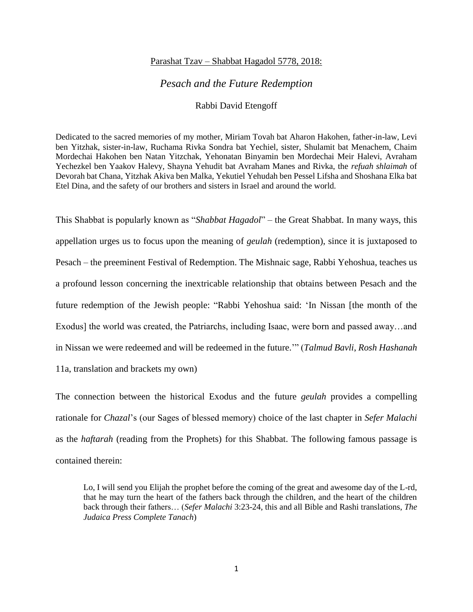## Parashat Tzav – Shabbat Hagadol 5778, 2018:

## *Pesach and the Future Redemption*

## Rabbi David Etengoff

Dedicated to the sacred memories of my mother, Miriam Tovah bat Aharon Hakohen, father-in-law, Levi ben Yitzhak, sister-in-law, Ruchama Rivka Sondra bat Yechiel, sister, Shulamit bat Menachem, Chaim Mordechai Hakohen ben Natan Yitzchak, Yehonatan Binyamin ben Mordechai Meir Halevi, Avraham Yechezkel ben Yaakov Halevy, Shayna Yehudit bat Avraham Manes and Rivka, the *refuah shlaimah* of Devorah bat Chana, Yitzhak Akiva ben Malka, Yekutiel Yehudah ben Pessel Lifsha and Shoshana Elka bat Etel Dina, and the safety of our brothers and sisters in Israel and around the world.

This Shabbat is popularly known as "*Shabbat Hagadol*" – the Great Shabbat. In many ways, this appellation urges us to focus upon the meaning of *geulah* (redemption), since it is juxtaposed to Pesach – the preeminent Festival of Redemption. The Mishnaic sage, Rabbi Yehoshua, teaches us a profound lesson concerning the inextricable relationship that obtains between Pesach and the future redemption of the Jewish people: "Rabbi Yehoshua said: 'In Nissan [the month of the Exodus] the world was created, the Patriarchs, including Isaac, were born and passed away…and in Nissan we were redeemed and will be redeemed in the future.'" (*Talmud Bavli*, *Rosh Hashanah*  11a, translation and brackets my own)

The connection between the historical Exodus and the future *geulah* provides a compelling rationale for *Chazal*'s (our Sages of blessed memory) choice of the last chapter in *Sefer Malachi*  as the *haftarah* (reading from the Prophets) for this Shabbat. The following famous passage is contained therein:

Lo, I will send you Elijah the prophet before the coming of the great and awesome day of the L-rd, that he may turn the heart of the fathers back through the children, and the heart of the children back through their fathers… (*Sefer Malachi* 3:23-24, this and all Bible and Rashi translations, *The Judaica Press Complete Tanach*)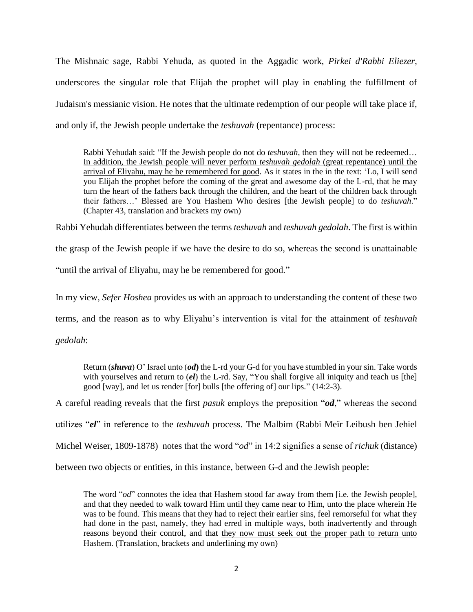The Mishnaic sage, Rabbi Yehuda, as quoted in the Aggadic work, *Pirkei d'Rabbi Eliezer*, underscores the singular role that Elijah the prophet will play in enabling the fulfillment of Judaism's messianic vision. He notes that the ultimate redemption of our people will take place if, and only if, the Jewish people undertake the *teshuvah* (repentance) process:

Rabbi Yehudah said: "If the Jewish people do not do *teshuvah*, then they will not be redeemed… In addition, the Jewish people will never perform *teshuvah gedolah* (great repentance) until the arrival of Eliyahu, may he be remembered for good. As it states in the in the text: 'Lo, I will send you Elijah the prophet before the coming of the great and awesome day of the L-rd, that he may turn the heart of the fathers back through the children, and the heart of the children back through their fathers…' Blessed are You Hashem Who desires [the Jewish people] to do *teshuvah*." (Chapter 43, translation and brackets my own)

Rabbi Yehudah differentiates between the terms *teshuvah* and *teshuvah gedolah*. The first is within

the grasp of the Jewish people if we have the desire to do so, whereas the second is unattainable

"until the arrival of Eliyahu, may he be remembered for good."

In my view, *Sefer Hoshea* provides us with an approach to understanding the content of these two

terms, and the reason as to why Eliyahu's intervention is vital for the attainment of *teshuvah* 

*gedolah*:

Return (*shuva*) O' Israel unto (*od***)** the L-rd your G-d for you have stumbled in your sin. Take words with yourselves and return to *(el)* the L-rd. Say, "You shall forgive all iniquity and teach us [the] good [way], and let us render [for] bulls [the offering of] our lips." (14:2-3).

A careful reading reveals that the first *pasuk* employs the preposition "*od*," whereas the second

utilizes "*el*" in reference to the *teshuvah* process. The Malbim (Rabbi Meïr Leibush ben Jehiel

Michel Weiser, 1809-1878) notes that the word "*od*" in 14:2 signifies a sense of *richuk* (distance)

between two objects or entities, in this instance, between G-d and the Jewish people:

The word "*od*" connotes the idea that Hashem stood far away from them [i.e. the Jewish people], and that they needed to walk toward Him until they came near to Him, unto the place wherein He was to be found. This means that they had to reject their earlier sins, feel remorseful for what they had done in the past, namely, they had erred in multiple ways, both inadvertently and through reasons beyond their control, and that they now must seek out the proper path to return unto Hashem. (Translation, brackets and underlining my own)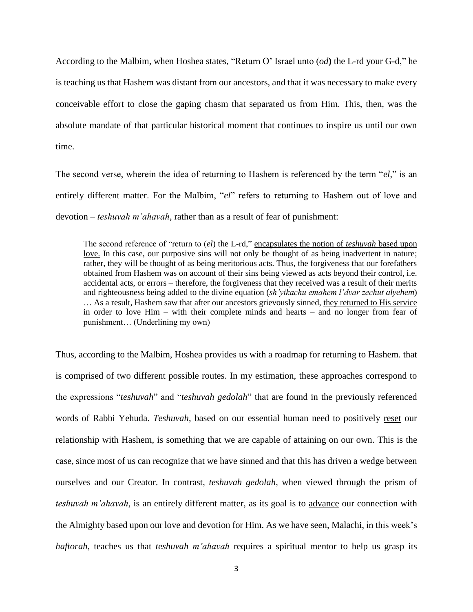According to the Malbim, when Hoshea states, "Return O' Israel unto (*od***)** the L-rd your G-d," he is teaching us that Hashem was distant from our ancestors, and that it was necessary to make every conceivable effort to close the gaping chasm that separated us from Him. This, then, was the absolute mandate of that particular historical moment that continues to inspire us until our own time.

The second verse, wherein the idea of returning to Hashem is referenced by the term "*el*," is an entirely different matter. For the Malbim, "*el*" refers to returning to Hashem out of love and devotion – *teshuvah m'ahavah*, rather than as a result of fear of punishment:

The second reference of "return to (*el*) the L-rd," encapsulates the notion of *teshuvah* based upon love. In this case, our purposive sins will not only be thought of as being inadvertent in nature; rather, they will be thought of as being meritorious acts. Thus, the forgiveness that our forefathers obtained from Hashem was on account of their sins being viewed as acts beyond their control, i.e. accidental acts, or errors – therefore, the forgiveness that they received was a result of their merits and righteousness being added to the divine equation (*sh'yikachu emahem l'dvar zechut alyehem*) … As a result, Hashem saw that after our ancestors grievously sinned, they returned to His service in order to love Him – with their complete minds and hearts – and no longer from fear of punishment… (Underlining my own)

Thus, according to the Malbim, Hoshea provides us with a roadmap for returning to Hashem. that is comprised of two different possible routes. In my estimation, these approaches correspond to the expressions "*teshuvah*" and "*teshuvah gedolah*" that are found in the previously referenced words of Rabbi Yehuda. *Teshuvah*, based on our essential human need to positively reset our relationship with Hashem, is something that we are capable of attaining on our own. This is the case, since most of us can recognize that we have sinned and that this has driven a wedge between ourselves and our Creator. In contrast, *teshuvah gedolah*, when viewed through the prism of *teshuvah m'ahavah*, is an entirely different matter, as its goal is to advance our connection with the Almighty based upon our love and devotion for Him. As we have seen, Malachi, in this week's *haftorah*, teaches us that *teshuvah m'ahavah* requires a spiritual mentor to help us grasp its